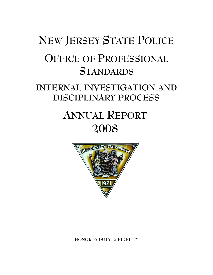# **NEW JERSEY STATE POLICE OFFICE OF PROFESSIONAL STANDARDS**

# **INTERNAL INVESTIGATION AND DISCIPLINARY PROCESS**

# **ANNUAL REPORT 2008**



**HONOR** j **DUTY** j **FIDELITY**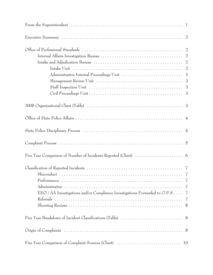| Intake Unit $\dots \dots \dots \dots \dots \dots \dots \dots \dots \dots \dots \dots \dots \dots \dots \dots$ |    |
|---------------------------------------------------------------------------------------------------------------|----|
|                                                                                                               |    |
|                                                                                                               |    |
| Staff Inspection Unit $\ldots \ldots \ldots \ldots \ldots \ldots \ldots \ldots \ldots \ldots \ldots \ldots$   |    |
|                                                                                                               |    |
|                                                                                                               |    |
|                                                                                                               |    |
|                                                                                                               |    |
|                                                                                                               |    |
|                                                                                                               |    |
|                                                                                                               |    |
|                                                                                                               |    |
|                                                                                                               |    |
|                                                                                                               |    |
| EEO / AA Investigations and/or Compliance Investigations Forwarded to O.P.S. 7                                |    |
|                                                                                                               |    |
|                                                                                                               |    |
|                                                                                                               |    |
|                                                                                                               |    |
| Five Year Comparison of Complaint Sources (Chart)                                                             | 10 |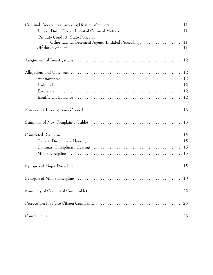| On-duty Conduct: State Police or                       |    |
|--------------------------------------------------------|----|
| Other Law Enforcement Agency Initiated Proceedings  11 |    |
|                                                        |    |
|                                                        | 12 |
|                                                        |    |
|                                                        |    |
|                                                        |    |
|                                                        |    |
|                                                        |    |
|                                                        |    |
|                                                        |    |
|                                                        |    |
|                                                        |    |
|                                                        |    |
|                                                        |    |
|                                                        |    |
|                                                        |    |
|                                                        |    |
|                                                        | 23 |
|                                                        |    |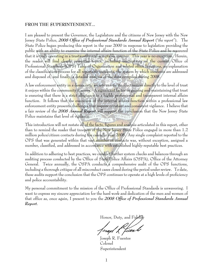#### **FROM THE SUPERINTENDENT...**

I am pleased to present the Governor, the Legislature and the citizens of New Jersey with the New Jersey State Police, *2008 Office of Professional Standards Annual Report* ("*the report*"). The State Police began producing this report in the year 2000 in response to legislation providing the public with an ability to examine the internal affairs function of the State Police and be reassured that it is truly operating in a trustworthy and acceptable manner. This year is no exception. Herein, the reader will find clearly presented topics, including descriptions of the current Office of Professional Standards (OPS) Table of Organization and related office functions, an explanation of the classification process for all reportable incidents, the system by which incidents are addressed and disposed of, and finally, a detailed analysis of the data compiled during 2008.

A law enforcement entity in a democratic society can tie its effectiveness directly to the level of trust it enjoys within the community it serves. A significant factor in gaining and maintaining that trust is ensuring that there is a st<mark>rict</mark> allegiance to a highly professional and transparent internal affairs function. It follows that the execution of the internal affairs function within a professional law enforcement entity presents challenges that require constant and consistent vigilance. I believe that a fair review of the *2008 Annual Report* will support the conclusion that the New Jersey State PROSPERITY Police maintains that level of vigilance.

This introduction will not restate all of the facts, figures and analysis articulated in this report, other than to remind the reader that troopers of the New Jersey State Police engaged in more than 1.2 million police/citizen contacts during the calendar year 2008. Any single complaint reported to the OPS that was generated within that vast number of contacts was, without exception, assigned a number, classified, and addressed in accordance with established highly-reputable best practices.

In addition to adhering to best practices, we conduct further system checks and balances through an auditing process conducted by the Office of State Police Affairs (OSPA), Office of the Attorney General. Twice annually, the OSPA conducts a comprehensive audit of the OPS functions, including a thorough critique of all misconduct cases closed during the period under review. To date, these audits support the conclusion that the OPS continues to operate at a high levels of proficiency and police accountability.

My personal commitment to the mission of the Office of Professional Standards is unwavering. I want to express my sincere appreciation for the hard work and dedication of the men and women of that office as, once again, I present to you the *2008 Office of Professional Standards Annual Report*.

Honor, Duty, and F

fosed Lfwerb

Joseph R. Fuentes Colonel Superintendent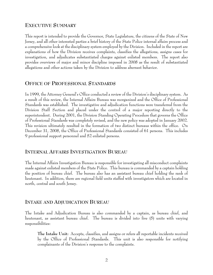#### **EXECUTIVE SUMMARY**

This report is intended to provide the Governor, State Legislature, the citizens of the State of New Jersey, and all other interested parties a brief history of the State Police internal affairs process and a comprehensive look at the disciplinary system employed by the Division. Included in the report are explanations of how the Division receives complaints, classifies the allegations, assigns cases for investigation, and adjudicates substantiated charges against enlisted members. The report also provides overviews of major and minor discipline imposed in 2008 as the result of substantiated allegations and other actions taken by the Division to address aberrant behavior.

#### **OFFICE OF PROFESSIONAL STANDARDS**

In 1999, the Attorney General's Office conducted a review of the Division's disciplinary system. As a result of this review, the Internal Affairs Bureau was reorganized and the Office of Professional Standards was established. The investigative and adjudication functions were transferred from the Division Staff Section and placed under the control of a major reporting directly to the superintendent. During 2001, the Division Standing Operating Procedure that governs the Office of Professional Standards was completely revised, and the new policy was adopted in January 2002. This revision ultimately resulted in the formation of two distinct bureaus within the office. On December 31, 2008, the Office of Professional Standards consisted of 61 persons. This includes 9 professional support personnel and 52 enlisted persons.

#### **INTERNAL AFFAIRS INVESTIGATION BUREAU**

The Internal Affairs Investigation Bureau is responsible for investigating all misconduct complaints made against enlisted members of the State Police. This bureau is commanded by a captain holding the position of bureau chief. The bureau also has an assistant bureau chief holding the rank of lieutenant. In addition, there are regional field units staffed with investigators which are located in north, central and south Jersey.

#### **INTAKE AND ADJUDICATION BUREAU**

The Intake and Adjudication Bureau is also commanded by a captain, as bureau chief, and lieutenant, as assistant bureau chief. The bureau is divided into five (5) units with varying responsibilities:

**The Intake Unit:** Accepts, classifies, and assigns or refers all reportable incidents received by the Office of Professional Standards. This unit is also responsible for notifying complainants of the Division's response to the complaints.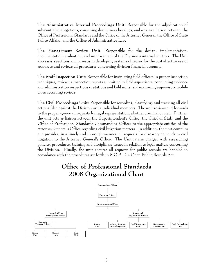**The Administrative Internal Proceedings Unit:** Responsible for the adjudication of substantiated allegations, convening disciplinary hearings, and acts as a liaison between the Office of Professional Standards and the Office of the Attorney General, the Office of State Police Affairs, and the Office of Administrative Law.

**The Management Review Unit:** Responsible for the design, implementation, documentation, evaluation, and improvement of the Division's internal controls. The Unit also assists sections and bureaus in developing systems of review for the cost effective use of resources and reviews all procedures concerning division financial accounts.

**The Staff Inspection Unit:** Responsible for instructing field officers in proper inspection techniques, reviewing inspection reports submitted by field supervisors, conducting evidence and administration inspections of stations and field units, and examining supervisory mobile video recording reviews.

**The Civil Proceedings Unit:** Responsible for recording, classifying, and tracking all civil actions filed against the Division or its individual members. The unit reviews and forwards to the proper agency all requests for legal representation, whether criminal or civil. Further, the unit acts as liaison between the Superintendent's Office, the Chief of Staff, and the Office of Professional Standards Commanding Officer to the appropriate entities of the Attorney General's Office regarding civil litigation matters. In addition, the unit compiles and provides, in a timely and thorough manner, all requests for discovery demands in civil litigation to the Attorney General's Office. The Unit is also charged with researching policies, procedures, training and disciplinary issues in relation to legal matters concerning the Division. Finally, the unit ensures all requests for public records are handled in accordance with the procedures set forth in S.O.P. D4, Open Public Records Act.



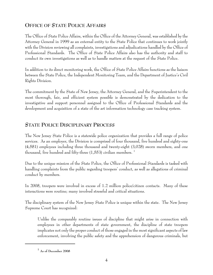# **OFFICE OF STATE POLICE AFFAIRS**

The Office of State Police Affairs, within the Office of the Attorney General, was established by the Attorney General in 1999 as an external entity to the State Police that continues to work jointly with the Division reviewing all complaints, investigations and adjudications handled by the Office of Professional Standards. The Office of State Police Affairs also has the authority and staff to conduct its own investigations as well as to handle matters at the request of the State Police.

In addition to its direct monitoring work, the Office of State Police Affairs functions as the liaison between the State Police, the Independent Monitoring Team, and the Department of Justice's Civil Rights Division.

The commitment by the State of New Jersey, the Attorney General, and the Superintendent to the most thorough, fair, and efficient system possible is demonstrated by the dedication to the investigative and support personnel assigned to the Office of Professional Standards and the development and acquisition of a state of the art information technology case tracking system.

# **STATE POLICE DISCIPLINARY PROCESS**

The New Jersey State Police is a statewide police organization that provides a full range of police services. As an employer, the Division is comprised of four thousand, five hundred and eighty-one (4,581) employees including three thousand and twenty-eight (3,028) sworn members, and one thousand, five hundred and fifty-three  $(1,553)$  civilian members. <sup>1</sup>

Due to the unique mission of the State Police, the Office of Professional Standards is tasked with handling complaints from the public regarding troopers' conduct, as well as allegations of criminal conduct by members.

In 2008, troopers were involved in excess of 1.2 million police/citizen contacts. Many of these interactions were routine; many involved stressful and critical situations.

The disciplinary system of the New Jersey State Police is unique within the state. The New Jersey Supreme Court has recognized:

Unlike the comparably routine issues of discipline that might arise in connection with employees in other departments of state government, the discipline of state troopers implicates not only the proper conduct of those engaged in the most significant aspects of law enforcement, involving the public safety and the apprehension of dangerous criminals, but

**<sup>1</sup> As of December 2008**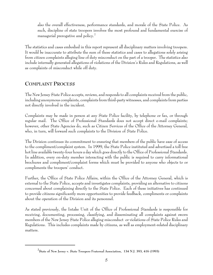also the overall effectiveness, performance standards, and morale of the State Police. As such, discipline of state troopers involves the most profound and fundamental exercise of managerial prerogative and policy.<sup>2</sup>

The statistics and cases embodied in this report represent all disciplinary matters involving troopers. It would be inaccurate to attribute the sum of these statistics and cases to allegations solely arising from citizen complaints alleging line of duty misconduct on the part of a trooper. The statistics also include internally generated allegations of violations of the Division's Rules and Regulations, as well as complaints of misconduct while off duty.

# **COMPLAINT PROCESS**

The New Jersey State Police accepts, reviews, and responds to all complaints received from the public, including anonymous complaints, complaints from third-party witnesses, and complaints from parties not directly involved in the incident.

Complaints may be made in person at any State Police facility, by telephone or fax, or through regular mail. The Office of Professional Standards does not accept direct e-mail complaints; however, other State Agencies do, such as Citizen Services of the Office of the Attorney General, who, in turn, will forward such complaints to the Division of State Police.

The Division continues its commitment to ensuring that members of the public have ease of access to the compliment/complaint system. In 1999, the State Police instituted and advertised a toll free hot line available twenty-four hours a day which goes directly to the Office of Professional Standards. In addition, every on-duty member interacting with the public is required to carry informational brochures and compliment/complaint forms which must be provided to anyone who objects to or compliments the troopers' conduct.

Further, the Office of State Police Affairs, within the Office of the Attorney General, which is external to the State Police, accepts and investigates complaints, providing an alternative to citizens concerned about complaining directly to the State Police. Each of these initiatives has continued to provide citizens significantly more opportunities to provide feedback, compliments or complaints about the operation of the Division and its personnel.

As stated previously, the Intake Unit of the Office of Professional Standards is responsible for receiving, documenting, processing, classifying, and disseminating all complaints against sworn members of the New Jersey State Police alleging misconduct or violations of State Police Rules and Regulations. This includes complaints made by citizens, as well as employment-related disciplinary matters.

**<sup>2</sup> State of New Jersey v. State Troopers Fraternal Association, 134 N.J. 393, 416 (1993)**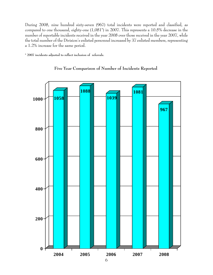During 2008, nine hundred sixty-seven (967) total incidents were reported and classified, as compared to one thousand, eighty-one (1,081\*) in 2007. This represents a 10.5% decrease in the number of reportable incidents received in the year 2008 over those received in the year 2007, while the total number of the Division's enlisted personnel increased by 37 enlisted members, representing a 1.2% increase for the same period.

**\* 2007 incidents adjusted to reflect inclusion of referrals.**



#### **Five Year Comparison of Number of Incidents Reported**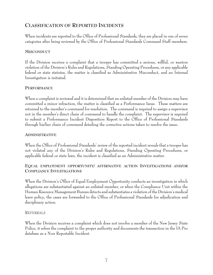# **CLASSIFICATION OF REPORTED INCIDENTS**

When incidents are reported to the Office of Professional Standards, they are placed in one of seven categories after being reviewed by the Office of Professional Standards Command Staff members.

#### **MISCONDUCT**

If the Division receives a complaint that a trooper has committed a serious, willful, or wanton violation of the Division's Rules and Regulations, Standing Operating Procedures, or any applicable federal or state statutes, the matter is classified as Administrative Misconduct, and an Internal Investigation is initiated.

#### **PERFORMANCE**

When a complaint is reviewed and it is determined that an enlisted member of the Division may have committed a minor infraction, the matter is classified as a Performance Issue. These matters are returned to the member's command for resolution. The command is required to assign a supervisor not in the member's direct chain of command to handle the complaint. The supervisor is required to submit a Performance Incident Disposition Report to the Office of Professional Standards through his/her chain of command detailing the corrective actions taken to resolve the issue.

#### **ADMINISTRATIVE**

When the Office of Professional Standards' review of the reported incident reveals that a trooper has not violated any of the Division's Rules and Regulations, Standing Operating Procedures, or applicable federal or state laws, the incident is classified as an Administrative matter.

#### **EQUAL EMPLOYMENT OPPORTUNITY/ AFFIRMATIVE ACTION INVESTIGATIONS AND/OR COMPLIANCE INVESTIGATIONS**

When the Division's Office of Equal Employment Opportunity conducts an investigation in which allegations are substantiated against an enlisted member, or when the Compliance Unit within the Human Resource Management Bureau detects and substantiates a violation of the Division's medical leave policy, the cases are forwarded to the Office of Professional Standards for adjudication and disciplinary action.

#### REFERRALS

When the Division receives a complaint which does not involve a member of the New Jersey State Police, it refers the complaint to the proper authority and documents the transaction in the IA Pro database as a Non Reportable Incident.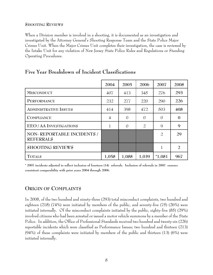#### **SHOOTING REVIEWS**

When a Division member is involved in a shooting, it is documented as an investigation and investigated by the Attorney General's Shooting Response Team and the State Police Major Crimes Unit. When the Major Crimes Unit completes their investigation, the case is reviewed by the Intake Unit for any violation of New Jersey State Police Rules and Regulations or Standing Operating Procedures.

|                                                | 2004  | 2005     | 2006           | 2007           | 2008           |
|------------------------------------------------|-------|----------|----------------|----------------|----------------|
| <b>MISCONDUCT</b>                              | 407   | 413      | 345            | 276            | 293            |
| PERFORMANCE                                    | 232   | 277      | 220            | 290            | 226            |
| <b>ADMINISTRATIVE ISSUES</b>                   | 414   | 398      | 472            | 503            | 408            |
| <b>COMPLIANCE</b>                              | 4     | $\Omega$ | $\Omega$       | $\Omega$       | 0              |
| EEO/AA INVESTIGATIONS                          | 1     | $\Omega$ | $\overline{2}$ | 9              | 9              |
| NON-REPORTABLE INCIDENTS /<br><b>REFERRALS</b> |       |          |                | $\overline{2}$ | 29             |
| <b>SHOOTING REVIEWS</b>                        |       |          |                |                | $\overline{2}$ |
| <b>TOTALS</b>                                  | 1,058 | 1,088    | 1,039          | $*1,081$       | 967            |

# **Five Year Breakdown of Incident Classifications**

**\* 2007 incidents adjusted to reflect inclusion of fourteen (14) referrals. Inclusion of referrals in 2007 ensures consistent comparability with prior years 2004 through 2006.** 

### **ORIGIN OF COMPLAINTS**

In 2008, of the two hundred and ninety-three (293) total misconduct complaints, two hundred and eighteen (218) (74%) were initiated by members of the public, and seventy-five (75) (26%) were initiated internally. Of the misconduct complaints initiated by the public, eighty-five (85) (29%) involved citizens who had been arrested or issued a motor vehicle summons by a member of the State Police. In addition, the Office of Professional Standards received two hundred and twenty-six (226) reportable incidents which were classified as Performance Issues; two hundred and thirteen (213) (94%) of these complaints were initiated by members of the public and thirteen (13) (6%) were initiated internally.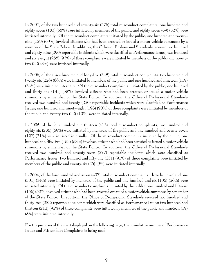In 2007, of the two hundred and seventy-six (276) total misconduct complaints, one hundred and eighty-seven (187) (68%) were initiated by members of the public, and eighty-seven (89) (32%) were initiated internally. Of the misconduct complaints initiated by the public, one hundred and twentynine (129) (69%) involved citizens who had been arrested or issued a motor vehicle summons by a member of the State Police. In addition, the Office of Professional Standards received two hundred and eighty-nine (290) reportable incidents which were classified as Performance Issues; two hundred and sixty-eight (268) (92%) of these complaints were initiated by members of the public and twentytwo (22) (8%) were initiated internally.

In 2006, of the three hundred and forty-five (345) total misconduct complaints, two hundred and twenty-six (226) (66%) were initiated by members of the public and one hundred and nineteen (119) (34%) were initiated internally. Of the misconduct complaints initiated by the public, one hundred and thirty-one (131) (58%) involved citizens who had been arrested or issued a motor vehicle summons by a member of the State Police. In addition, the Office of Professional Standards received two hundred and twenty (220) reportable incidents which were classified as Performance Issues; one hundred and ninety-eight (198) (90%) of these complaints were initiated by members of the public and twenty-two (22) (10%) were initiated internally.

In 2005, of the four hundred and thirteen (413) total misconduct complaints, two hundred and eighty-six (286) (69%) were initiated by members of the public and one hundred and twenty-seven (127) (31%) were initiated internally. Of the misconduct complaints initiated by the public, one hundred and fifty-two (152) (53%) involved citizens who had been arrested or issued a motor vehicle summons by a member of the State Police. In addition, the Office of Professional Standards received two hundred and seventy-seven (277) reportable incidents which were classified as Performance Issues; two hundred and fifty-one (251) (91%) of these complaints were initiated by members of the public and twenty-six (26) (9%) were initiated internally.

In 2004, of the four hundred and seven (407) total misconduct complaints, three hundred and one (301) (74%) were initiated by members of the public and one hundred and six (106) (26%) were initiated internally. Of the misconduct complaints initiated by the public, one hundred and fifty-six (156) (52%) involved citizens who had been arrested or issued a motor vehicle summons by a member of the State Police. In addition, the Office of Professional Standards received two hundred and thirty-two (232) reportable incidents which were classified as Performance Issues; two hundred and thirteen (213) (92%) of these complaints were initiated by members of the public and nineteen (19) (8%) were initiated internally.

For the purposes of the chart displayed on the following page, the cumulative number of Performance Issues and Misconduct Complaints is being used.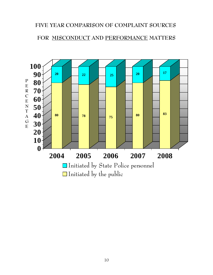# **FIVE YEAR COMPARISON OF COMPLAINT SOURCES**

# **FOR MISCONDUCT AND PERFORMANCE MATTERS**

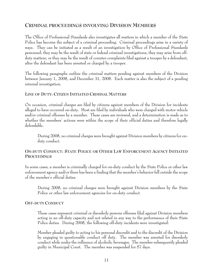### **CRIMINAL PROCEEDINGS INVOLVING DIVISION MEMBERS**

The Office of Professional Standards also investigates all matters in which a member of the State Police has become the subject of a criminal proceeding. Criminal proceedings arise in a variety of ways. They can be initiated as a result of an investigation by Office of Professional Standards personnel; they may be the result of state or federal criminal investigations; they may arise from offduty matters; or they may be the result of counter-complaints filed against a trooper by a defendant, after the defendant has been arrested or charged by a trooper.

The following paragraphs outline the criminal matters pending against members of the Division between January 1, 2008, and December 31, 2008. Each matter is also the subject of a pending internal investigation.

#### **LINE OF DUTY: CITIZEN INITIATED CRIMINAL MATTERS**

On occasion, criminal charges are filed by citizens against members of the Division for incidents alleged to have occurred on-duty. Most are filed by individuals who were charged with motor vehicle and/or criminal offenses by a member. These cases are reviewed, and a determination is made as to whether the members' actions were within the scope of their official duties and therefore legally defendable.

During 2008, no criminal charges were brought against Division members by citizens for onduty conduct.

#### **ON-DUTY CONDUCT: STATE POLICE OR OTHER LAW ENFORCEMENT AGENCY INITIATED PROCEEDINGS**

In some cases, a member is criminally charged for on-duty conduct by the State Police or other law enforcement agency and/or there has been a finding that the member's behavior fell outside the scope of the member's official duties.

During 2008, no criminal charges were brought against Division members by the State Police or other law enforcement agencies for on-duty conduct.

#### **OFF-DUTY CONDUCT**

These cases represent criminal or disorderly persons offenses filed against Division members acting in an off-duty capacity and not related in any way to the performance of their State Police duties. During 2008, the following off-duty incidents were investigated:

Member pleaded guilty to acting to his personal discredit and to the discredit of the Division by engaging in questionable conduct off duty. The member was arrested for disorderly conduct while under the influence of alcoholic beverages. The member subsequently pleaded guilty in Municipal Court. The member was suspended for 57 days.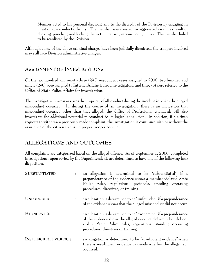Member acted to his personal discredit and to the discredit of the Division by engaging in questionable conduct off-duty. The member was arrested for aggravated assault as result of choking, punching and kicking the victim, causing serious bodily injury. The member failed to be reenlisted by the Division.

Although some of the above criminal charges have been judicially dismissed, the troopers involved may still face Division administrative charges.

# **ASSIGNMENT OF INVESTIGATIONS**

Of the two hundred and ninety-three (293) misconduct cases assigned in 2008, two hundred and ninety (290) were assigned to Internal Affairs Bureau investigators, and three (3) were referred to the Office of State Police Affairs for investigation.

The investigative process assesses the propriety of all conduct during the incident in which the alleged misconduct occurred. If, during the course of an investigation, there is an indication that misconduct occurred other than that alleged, the Office of Professional Standards will also investigate the additional potential misconduct to its logical conclusion. In addition, if a citizen requests to withdraw a previously made complaint, the investigation is continued with or without the assistance of the citizen to ensure proper trooper conduct.

# **ALLEGATIONS AND OUTCOMES**

All complaints are categorized based on the alleged offense. As of September 1, 2000, completed investigations, upon review by the Superintendent, are determined to have one of the following four dispositions:

| <b>SUBSTANTIATED</b>         |                      | an allegation is determined to be "substantiated" if a<br>preponderance of the evidence shows a member violated State<br>Police rules, regulations, protocols, standing operating<br>procedures, directives, or training.                  |
|------------------------------|----------------------|--------------------------------------------------------------------------------------------------------------------------------------------------------------------------------------------------------------------------------------------|
| <b>UNFOUNDED</b>             | $\ddot{\phantom{a}}$ | an allegation is determined to be "unfounded" if a preponderance<br>of the evidence shows that the alleged misconduct did not occur.                                                                                                       |
| <b>EXONERATED</b>            | $\ddot{\cdot}$       | an allegation is determined to be "exonerated" if a preponderance<br>of the evidence shows the alleged conduct did occur but did not<br>violate State Police rules, regulations, standing operating<br>procedures, directives or training. |
| <b>INSUFFICIENT EVIDENCE</b> | $\cdot$              | an allegation is determined to be "insufficient evidence" when<br>there is insufficient evidence to decide whether the alleged act<br>occurred.                                                                                            |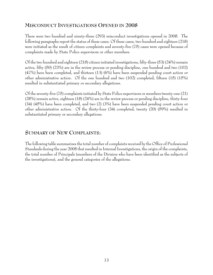# **MISCONDUCT INVESTIGATIONS OPENED IN 2008**

There were two hundred and ninety-three (293) misconduct investigations opened in 2008. The following paragraphs report the status of these cases. Of these cases, two hundred and eighteen (218) were initiated as the result of citizen complaints and seventy-five (75) cases were opened because of complaints made by State Police supervisors or other members.

Of the two hundred and eighteen (218) citizen initiated investigations, fifty-three (53) (24%) remain active, fifty (50) (23%) are in the review process or pending discipline, one hundred and two (102) (47%) have been completed, and thirteen (13) (6%) have been suspended pending court action or other administrative action. Of the one hundred and two (102) completed, fifteen (15) (15%) resulted in substantiated primary or secondary allegations.

Of the seventy-five (75) complaints initiated by State Police supervisors or members twenty-one (21) (28%) remain active, eighteen (18) (24%) are in the review process or pending discipline, thirty-four (34) (45%) have been completed, and two (2) (3%) have been suspended pending court action or other administrative action. Of the thirty-four (34) completed, twenty (20) (59%) resulted in substantiated primary or secondary allegations.

# **SUMMARY OF NEW COMPLAINTS:**

The following table summarizes the total number of complaints received by the Office of Professional Standards during the year 2008 that resulted in Internal Investigations, the origin of the complaints, the total number of Principals (members of the Division who have been identified as the subjects of the investigations), and the general categories of the allegations.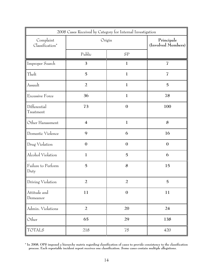| 2008 Cases Received by Category for Internal Investigation |                         |                                  |                  |  |  |
|------------------------------------------------------------|-------------------------|----------------------------------|------------------|--|--|
| Complaint<br>Classification*                               | Origin                  | Principals<br>(Involved Members) |                  |  |  |
|                                                            | Public                  | SP                               |                  |  |  |
| Improper Search                                            | 3                       | $\mathbf{1}$                     | $\overline{I}$   |  |  |
| Theft                                                      | $\overline{5}$          | $\mathbf{1}$                     | $\overline{I}$   |  |  |
| Assault                                                    | $\overline{a}$          | $\mathbf{1}$                     | $\overline{5}$   |  |  |
| Excessive Force                                            | 36                      | $\mathbf{1}$                     | 78               |  |  |
| Differential<br>Treatment                                  | 73                      | $\boldsymbol{0}$                 | 100              |  |  |
| Other Harassment                                           | $\overline{\mathbf{4}}$ | $\mathbf{1}$                     | 8                |  |  |
| Domestic Violence                                          | 9                       | 6                                | 16               |  |  |
| Drug Violation                                             | $\boldsymbol{0}$        | $\boldsymbol{0}$                 | $\boldsymbol{0}$ |  |  |
| Alcohol Violation                                          | $\mathbf{1}$            | $\overline{5}$                   | 6                |  |  |
| Failure to Perform<br>Duty                                 | $\overline{5}$          | 8                                | 15               |  |  |
| Driving Violation                                          | 2                       | 2                                | 5                |  |  |
| Attitude and<br>Demeanor                                   | 11                      | $\boldsymbol{0}$                 | 11               |  |  |
| Admin. Violations                                          | $\overline{a}$          | 20                               | $24\,$           |  |  |
| Other                                                      | 65                      | 29                               | 138              |  |  |
| <b>TOTALS</b>                                              | 218                     | ${\bf 75}$                       | 420              |  |  |

**\* In 2008, OPS imposed a hierarchy matrix regarding classification of cases to provide consistency to the classification process. Each reportable incident report receives one classification. Some cases contain multiple allegations.**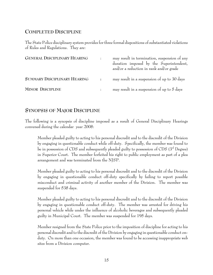# **COMPLETED DISCIPLINE**

The State Police disciplinary system provides for three formal dispositions of substantiated violations of Rules and Regulations. They are:

| <b>GENERAL DISCIPLINARY HEARING</b> | may result in termination, suspension of any<br>duration imposed by the Superintendent,<br>and/or a reduction in rank and/or grade |
|-------------------------------------|------------------------------------------------------------------------------------------------------------------------------------|
| SUMMARY DISCIPLINARY HEARING        | may result in a suspension of up to 30 days                                                                                        |
| <b>MINOR DISCIPLINE</b>             | may result in a suspension of up to 5 days                                                                                         |

# **SYNOPSIS OF MAJOR DISCIPLINE**

The following is a synopsis of discipline imposed as a result of General Disciplinary Hearings convened during the calendar year 2008:

Member pleaded guilty to acting to his personal discredit and to the discredit of the Division by engaging in questionable conduct while off-duty. Specifically, the member was found to be in possession of CDS and subsequently pleaded guilty to possession of CDS  $(3<sup>rd</sup>$  Degree) in Superior Court. The member forfeited his right to public employment as part of a plea arrangement and was terminated from the NJSP.

Member pleaded guilty to acting to his personal discredit and to the discredit of the Division by engaging in questionable conduct off-duty specifically by failing to report possible misconduct and criminal activity of another member of the Division. The member was suspended for 538 days.

Member pleaded guilty to acting to his personal discredit and to the discredit of the Division by engaging in questionable conduct off-duty. The member was arrested for driving his personal vehicle while under the influence of alcoholic beverages and subsequently pleaded guilty in Municipal Court. The member was suspended for 195 days.

Member resigned from the State Police prior to the imposition of discipline for acting to his personal discredit and to the discredit of the Division by engaging in questionable conduct onduty. On more than one occasion, the member was found to be accessing inappropriate web sites from a Division computer.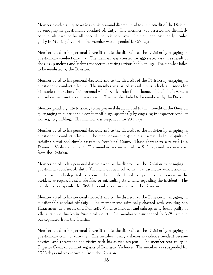Member pleaded guilty to acting to his personal discredit and to the discredit of the Division by engaging in questionable conduct off-duty. The member was arrested for disorderly conduct while under the influence of alcoholic beverages. The member subsequently pleaded guilty in Municipal Court. The member was suspended for 57 days.

Member acted to his personal discredit and to the discredit of the Division by engaging in questionable conduct off-duty. The member was arrested for aggravated assault as result of choking, punching and kicking the victim, causing serious bodily injury. The member failed to be reenlisted by the Division.

Member acted to his personal discredit and to the discredit of the Division by engaging in questionable conduct off-duty. The member was issued several motor vehicle summons for his careless operation of his personal vehicle while under the influence of alcoholic beverages and subsequent motor vehicle accident. The member failed to be reenlisted by the Division.

Member pleaded guilty to acting to his personal discredit and to the discredit of the Division by engaging in questionable conduct off-duty, specifically by engaging in improper conduct relating to gambling. The member was suspended for 933 days.

Member acted to his personal discredit and to the discredit of the Division by engaging in questionable conduct off-duty. The member was charged and subsequently found guilty of resisting arrest and simple assault in Municipal Court. These charges were related to a Domestic Violence incident. The member was suspended for 512 days and was separated from the Division.

Member acted to his personal discredit and to the discredit of the Division by engaging in questionable conduct off-duty. The member was involved in a two-car motor vehicle accident and subsequently departed the scene. The member failed to report his involvement in the accident as required and made false or misleading statements regarding the incident. The member was suspended for 368 days and was separated from the Division

Member acted to his personal discredit and to the discredit of the Division by engaging in questionable conduct off-duty. The member was criminally charged with Stalking and Harassment as a result of a Domestic Violence incident and subsequently found guilty of Obstruction of Justice in Municipal Court. The member was suspended for 775 days and was separated from the Division.

Member acted to his personal discredit and to the discredit of the Division by engaging in questionable conduct off-duty. The member during a domestic violence incident became physical and threatened the victim with his service weapon. The member was guilty in Superior Court of committing acts of Domestic Violence. The member was suspended for 1326 days and was separated from the Division.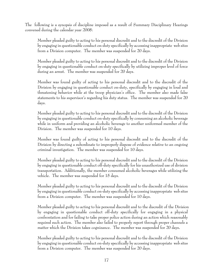The following is a synopsis of discipline imposed as a result of Summary Disciplinary Hearings convened during the calendar year 2008:

Member pleaded guilty to acting to his personal discredit and to the discredit of the Division by engaging in questionable conduct on-duty specifically by accessing inappropriate web sites from a Division computer. The member was suspended for 20 days.

Member pleaded guilty to acting to his personal discredit and to the discredit of the Division by engaging in questionable conduct on-duty specifically by utilizing improper level of force during an arrest. The member was suspended for 20 days.

Member was found guilty of acting to his personal discredit and to the discredit of the Division by engaging in questionable conduct on-duty, specifically by engaging in loud and threatening behavior while at the troop physician's office. The member also made false statements to his supervisor's regarding his duty status. The member was suspended for 20 days.

Member pleaded guilty to acting to his personal discredit and to the discredit of the Division by engaging in questionable conduct on-duty specifically by consuming an alcoholic beverage while in uniform and providing an alcoholic beverage to another uniformed member of the Division. The member was suspended for 10 days.

Member was found guilty of acting to his personal discredit and to the discredit of the Division by directing a subordinate to improperly dispose of evidence relative to an ongoing criminal investigation. The member was suspended for 10 days.

Member pleaded guilty to acting to his personal discredit and to the discredit of the Division by engaging in questionable conduct off-duty specifically for his unauthorized use of division transportation. Additionally, the member consumed alcoholic beverages while utilizing the vehicle. The member was suspended for 15 days.

Member pleaded guilty to acting to his personal discredit and to the discredit of the Division by engaging in questionable conduct on-duty specifically by accessing inappropriate web sites from a Division computer. The member was suspended for 10 days.

 Member pleaded guilty to acting to his personal discredit and to the discredit of the Division by engaging in questionable conduct off-duty specifically for engaging in a physical confrontation and for failing to take proper police action during an action which reasonably required such action. The member also failed to properly report through proper channels a matter which the Division takes cognizance. The member was suspended for 20 days**.**

Member pleaded guilty to acting to his personal discredit and to the discredit of the Division by engaging in questionable conduct on-duty specifically by accessing inappropriate web sites from a Division computer. The member was suspended for 20 days.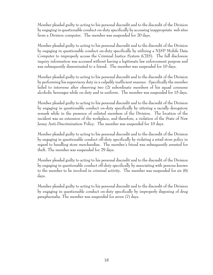Member pleaded guilty to acting to his personal discredit and to the discredit of the Division by engaging in questionable conduct on-duty specifically by accessing inappropriate web sites from a Division computer. The member was suspended for 20 days.

Member pleaded guilty to acting to his personal discredit and to the discredit of the Division by engaging in questionable conduct on-duty specifically by utilizing a NJSP Mobile Data Computer to improperly access the Criminal Justice System (CJIS). The full disclosure inquiry information was accessed without having a legitimate law enforcement purpose and was subsequently disseminated to a friend. The member was suspended for 10 days.

Member pleaded guilty to acting to his personal discredit and to the discredit of the Division by performing his supervisory duty in a culpably inefficient manner. Specifically the member failed to intervene after observing two (2) subordinate members of his squad consume alcoholic beverages while on duty and in uniform. The member was suspended for 15 days.

Member pleaded guilty to acting to his personal discredit and to the discredit of the Division by engaging in questionable conduct on-duty specifically by uttering a racially derogatory remark while in the presence of enlisted members of the Division. The location of the incident was an extension of the workplace, and therefore, a violation of the State of New Jersey Anti-Discrimination Policy. The member was suspended for 10 days.

Member pleaded guilty to acting to his personal discredit and to the discredit of the Division by engaging in questionable conduct off-duty specifically by violating a retail store policy in regard to handling store merchandise. The member's friend was subsequently arrested for theft. The member was suspended for 29 days.

Member pleaded guilty to acting to his personal discredit and to the discredit of the Division by engaging in questionable conduct off-duty specifically by associating with persons known to the member to be involved in criminal activity. The member was suspended for six (6) days.

Member pleaded guilty to acting to his personal discredit and to the discredit of the Division by engaging in questionable conduct on-duty specifically by improperly disposing of drug paraphernalia. The member was suspended for seven (7) days.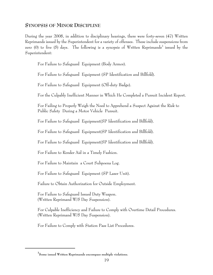#### **SYNOPSIS OF MINOR DISCIPLINE**

During the year 2008, in addition to disciplinary hearings, there were forty-seven (47) Written Reprimands issued by the Superintendent for a variety of offenses. These include suspensions from zero (0) to five (5) days. The following is a synopsis of Written Reprimands<sup>3</sup> issued by the Superintendent:

For Failure to Safeguard Equipment (Body Armor).

For Failure to Safeguard Equipment (SP Identification and Billfold).

For Failure to Safeguard Equipment (Off-duty Badge).

For the Culpably Inefficient Manner in Which He Completed a Pursuit Incident Report.

For Failing to Properly Weigh the Need to Apprehend a Suspect Against the Risk to Public Safety During a Motor Vehicle Pursuit.

For Failure to Safeguard Equipment(SP Identification and Billfold).

For Failure to Safeguard Equipment(SP Identification and Billfold).

For Failure to Safeguard Equipment(SP Identification and Billfold).

For Failure to Render Aid in a Timely Fashion.

For Failure to Maintain a Court Subpoena Log.

For Failure to Safeguard Equipment (SP Laser Unit).

Failure to Obtain Authorization for Outside Employment.

For Failure to Safeguard Issued Duty Weapon. (Written Reprimand W/5 Day Suspension).

For Culpable Inefficiency and Failure to Comply with Overtime Detail Procedures. (Written Reprimand W/5 Day Suspension).

For Failure to Comply with Station Pass List Procedures.

**<sup>3</sup> Some issued Written Reprimands encompass multiple violations.**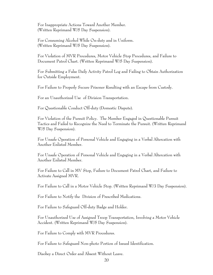For Inappropriate Actions Toward Another Member. (Written Reprimand W/5 Day Suspension).

For Consuming Alcohol While On-duty and in Uniform. (Written Reprimand W/5 Day Suspension).

For Violation of MVR Procedures, Motor Vehicle Stop Procedures, and Failure to Document Patrol Chart. (Written Reprimand W/5 Day Suspension).

 For Submitting a False Daily Activity Patrol Log and Failing to Obtain Authorization for Outside Employment.

For Failure to Properly Secure Prisoner Resulting with an Escape from Custody.

For an Unauthorized Use of Division Transportation.

For Questionable Conduct Off-duty (Domestic Dispute).

For Violation of the Pursuit Policy. The Member Engaged in Questionable Pursuit Tactics and Failed to Recognize the Need to Terminate the Pursuit. (Written Reprimand W/5 Day Suspension).

For Unsafe Operation of Personal Vehicle and Engaging in a Verbal Altercation with Another Enlisted Member.

For Unsafe Operation of Personal Vehicle and Engaging in a Verbal Altercation with Another Enlisted Member.

For Failure to Call in MV Stop, Failure to Document Patrol Chart, and Failure to Activate Assigned MVR.

For Failure to Call in a Motor Vehicle Stop. (Written Reprimand W/3 Day Suspension).

For Failure to Notify the Division of Prescribed Medications.

For Failure to Safeguard Off-duty Badge and Holder.

For Unauthorized Use of Assigned Troop Transportation, Involving a Motor Vehicle Accident. (Written Reprimand W/5 Day Suspension).

For Failure to Comply with MVR Procedures.

For Failure to Safeguard Non-photo Portion of Issued Identification.

Disobey a Direct Order and Absent Without Leave.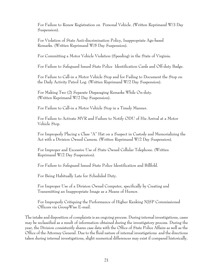For Failure to Renew Registration on Personal Vehicle. (Written Reprimand W/3 Day Suspension).

For Violation of State Anti-discrimination Policy, Inappropriate Age-based Remarks. (Written Reprimand W/5 Day Suspension).

For Committing a Motor Vehicle Violation (Speeding) in the State of Virginia.

For Failure to Safeguard Issued State Police Identification Cards and Off-duty Badge.

For Failure to Call-in a Motor Vehicle Stop and for Failing to Document the Stop on the Daily Activity Patrol Log. (Written Reprimand W/2 Day Suspension).

For Making Two (2) Separate Disparaging Remarks While On-duty. (Written Reprimand W/2 Day Suspension).

For Failure to Call-in a Motor Vehicle Stop in a Timely Manner.

For Failure to Activate MVR and Failure to Notify ODU of His Arrival at a Motor Vehicle Stop.

For Improperly Placing a Class "A" Hat on a Suspect in Custody and Memorializing the Act with a Division Owned Camera. (Written Reprimand W/2 Day Suspension).

For Improper and Excessive Use of State Owned Cellular Telephone. (Written Reprimand W/2 Day Suspension).

For Failure to Safeguard Issued State Police Identification and Billfold.

For Being Habitually Late for Scheduled Duty.

For Improper Use of a Division Owned Computer, specifically by Creating and Transmitting an Inappropriate Image as a Means of Humor.

For Improperly Critiquing the Performance of Higher Ranking NJSP Commissioned Officers via GroupWise E-mail.

The intake and disposition of complaints is an ongoing process. During internal investigations, cases may be reclassified as a result of information obtained during the investigatory process. During the year, the Division consistently shares case data with the Office of State Police Affairs as well as the Office of the Attorney General. Due to the fluid nature of internal investigations and the directions taken during internal investigations, slight numerical differences may exist if compared historically.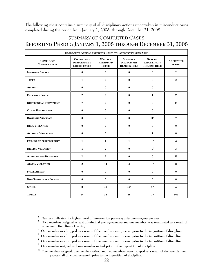The following chart contains a summary of all disciplinary actions undertaken in misconduct cases completed during the period from January 1, 2008, through December 31, 2008:

# **SUMMARY OF COMPLETED CASES REPORTING PERIOD: JANUARY 1, 2008 THROUGH DECEMBER 31, 2008**

| <b>CORRECTIVE ACTIONS TAKEN FOR CASES BY CATEGORY IN YEAR 20084</b> |                                                           |                                                     |                                                              |                                                              |                                    |  |  |
|---------------------------------------------------------------------|-----------------------------------------------------------|-----------------------------------------------------|--------------------------------------------------------------|--------------------------------------------------------------|------------------------------------|--|--|
| <b>COMPLAINT</b><br><b>CLASSIFICATION</b>                           | COUNSELING/<br><b>PERFORMANCE</b><br><b>NOTICE ISSUED</b> | <b>WRITTEN</b><br><b>REPRIMAND</b><br><b>ISSUED</b> | <b>SUMMARY</b><br><b>DISCIPLINARY</b><br><b>HEARING HELD</b> | <b>GENERAL</b><br><b>DISCIPLINARY</b><br><b>HEARING HELD</b> | <b>NO FURTHER</b><br><b>ACTION</b> |  |  |
| <b>IMPROPER SEARCH</b>                                              | $\bf{0}$                                                  | $\bf{0}$                                            | $\bf{0}$                                                     | $\bf{0}$                                                     | $\overline{2}$                     |  |  |
| <b>THEFT</b>                                                        | $\mathbf{1}$                                              | $\bf{0}$                                            | $\bf{0}$                                                     | $\bf{0}$                                                     | $\overline{2}$                     |  |  |
| <b>ASSAULT</b>                                                      | $\bf{0}$                                                  | $\bf{0}$                                            | $\bf{0}$                                                     | $\mathbf{0}$                                                 | $\mathbf{1}$                       |  |  |
| <b>EXCESSIVE FORCE</b>                                              | $\overline{2}$                                            | $\bf{0}$                                            | $\bf{0}$                                                     | $\mathbf{1}$                                                 | 25                                 |  |  |
| <b>DIFFERENTIAL TREATMENT</b>                                       | $\overline{7}$                                            | $\bf{0}$                                            | $\bf{0}$                                                     | $\bf{0}$                                                     | 49                                 |  |  |
| <b>OTHER HARASSMENT</b>                                             | $\bf{0}$                                                  | $\bf{0}$                                            | $\bf{0}$                                                     | $\bf{0}$                                                     | 1                                  |  |  |
| <b>DOMESTIC VIOLENCE</b>                                            | $\bf{0}$                                                  | $\mathbf{2}$                                        | $\bf{0}$                                                     | 3 <sup>5</sup>                                               | $\overline{7}$                     |  |  |
| <b>DRUG VIOLATION</b>                                               | $\bf{0}$                                                  | $\bf{0}$                                            | $\bf{0}$                                                     | $\bf{0}$                                                     | $\mathbf{0}$                       |  |  |
| <b>ALCOHOL VIOLATION</b>                                            | $\bf{0}$                                                  | $\bf{0}$                                            | $\mathbf{1}$                                                 | $\mathbf{1}$                                                 | $\bf{0}$                           |  |  |
| <b>FAILURE TO PERFORM DUTY</b>                                      | $\mathbf{1}$                                              | $\mathbf{1}$                                        | $\mathbf{1}$                                                 | 1 <sup>6</sup>                                               | 4                                  |  |  |
| <b>DRIVING VIOLATION</b>                                            | $\mathbf{1}$                                              | $\overline{2}$                                      | $\bf{0}$                                                     | 1 <sup>7</sup>                                               | 3                                  |  |  |
| <b>ATTITUDE AND DEMEANOR</b>                                        | $\overline{2}$                                            | $\mathbf{2}$                                        | $\bf{0}$                                                     | $\bf{0}$                                                     | 10                                 |  |  |
| <b>ADMIN. VIOLATION</b>                                             | $\mathbf{2}$                                              | 14                                                  | $\overline{\mathbf{4}}$                                      | 1 <sup>8</sup>                                               | 8                                  |  |  |
| <b>FALSE ARREST</b>                                                 | $\bf{0}$                                                  | $\bf{0}$                                            | $\bf{0}$                                                     | $\bf{0}$                                                     | $\bf{0}$                           |  |  |
| <b>NON-REPORTABLE INCIDENT</b>                                      | $\bf{0}$                                                  | $\mathbf{0}$                                        | $\bf{0}$                                                     | $\mathbf{0}$                                                 | $\mathbf{0}$                       |  |  |
| <b>OTHER</b>                                                        | 8                                                         | 11                                                  | 10 <sup>9</sup>                                              | 910                                                          | 57                                 |  |  |
| <b>TOTALS</b>                                                       | 24                                                        | 32                                                  | 16                                                           | 17                                                           | 169                                |  |  |

<sup>&</sup>lt;sup>4</sup> Number indicates the highest level of intervention per case; only one category per case.

**Number indicates the highest level of intervention per case; only one category per case. <sup>5</sup> Two members resigned as part of criminal plea agreements and one member was terminated as a result of a General Disciplinary Hearing.**

**<sup>6</sup> One member was dropped as a result of the re-enlistment process, prior to the imposition of discipline.**

**<sup>7</sup> One member was dropped as a result of the re-enlistment process, prior to the imposition of discipline.**

**<sup>8</sup> One member was dropped as a result of the re-enlistment process, prior to the imposition of discipline.**

**<sup>9</sup> One member resigned and one member retired prior to the imposition of discipline.**

**<sup>10</sup> One member resigned, one member retired and two members were dropped as a result of the re-enlistment process, all of which occurred prior to the imposition of discipline.**